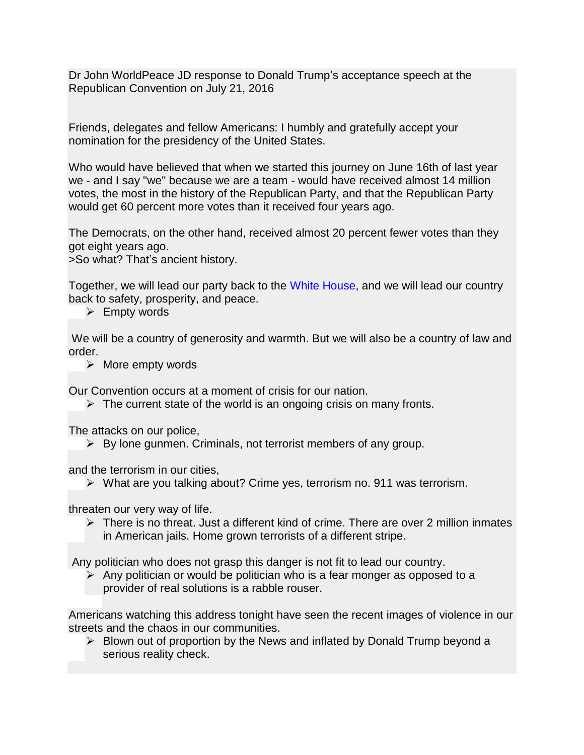Dr John WorldPeace JD response to Donald Trump's acceptance speech at the Republican Convention on July 21, 2016

Friends, delegates and fellow Americans: I humbly and gratefully accept your nomination for the presidency of the United States.

Who would have believed that when we started this journey on June 16th of last year we - and I say "we" because we are a team - would have received almost 14 million votes, the most in the history of the Republican Party, and that the Republican Party would get 60 percent more votes than it received four years ago.

The Democrats, on the other hand, received almost 20 percent fewer votes than they got eight years ago.

>So what? That's ancient history.

Together, we will lead our party back to the White [House,](http://abcnews.go.com/topics/news/us/white-house.htm) and we will lead our country back to safety, prosperity, and peace.

 $\triangleright$  Empty words

We will be a country of generosity and warmth. But we will also be a country of law and order.

 $\triangleright$  More empty words

Our Convention occurs at a moment of crisis for our nation.

 $\triangleright$  The current state of the world is an ongoing crisis on many fronts.

The attacks on our police,

 $\triangleright$  By lone gunmen. Criminals, not terrorist members of any group.

and the terrorism in our cities,

What are you talking about? Crime yes, terrorism no. 911 was terrorism.

threaten our very way of life.

 $\triangleright$  There is no threat. Just a different kind of crime. There are over 2 million inmates in American jails. Home grown terrorists of a different stripe.

Any politician who does not grasp this danger is not fit to lead our country.

 $\triangleright$  Any politician or would be politician who is a fear monger as opposed to a provider of real solutions is a rabble rouser.

Americans watching this address tonight have seen the recent images of violence in our streets and the chaos in our communities.

 $\triangleright$  Blown out of proportion by the News and inflated by Donald Trump beyond a serious reality check.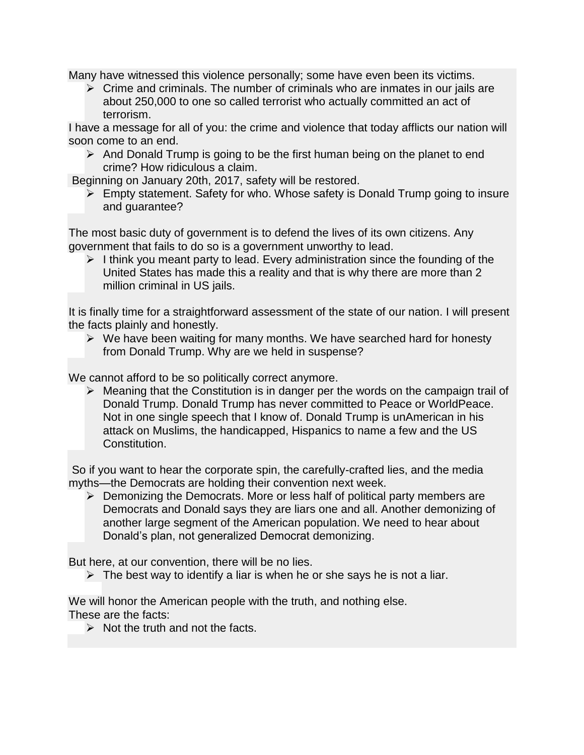Many have witnessed this violence personally; some have even been its victims.

 $\triangleright$  Crime and criminals. The number of criminals who are inmates in our jails are about 250,000 to one so called terrorist who actually committed an act of terrorism.

I have a message for all of you: the crime and violence that today afflicts our nation will soon come to an end.

 $\triangleright$  And Donald Trump is going to be the first human being on the planet to end crime? How ridiculous a claim.

Beginning on January 20th, 2017, safety will be restored.

 $\triangleright$  Empty statement. Safety for who. Whose safety is Donald Trump going to insure and guarantee?

The most basic duty of government is to defend the lives of its own citizens. Any government that fails to do so is a government unworthy to lead.

 $\triangleright$  I think you meant party to lead. Every administration since the founding of the United States has made this a reality and that is why there are more than 2 million criminal in US jails.

It is finally time for a straightforward assessment of the state of our nation. I will present the facts plainly and honestly.

 $\triangleright$  We have been waiting for many months. We have searched hard for honesty from Donald Trump. Why are we held in suspense?

We cannot afford to be so politically correct anymore.

 $\triangleright$  Meaning that the Constitution is in danger per the words on the campaign trail of Donald Trump. Donald Trump has never committed to Peace or WorldPeace. Not in one single speech that I know of. Donald Trump is unAmerican in his attack on Muslims, the handicapped, Hispanics to name a few and the US Constitution.

So if you want to hear the corporate spin, the carefully-crafted lies, and the media myths—the Democrats are holding their convention next week.

 $\triangleright$  Demonizing the Democrats. More or less half of political party members are Democrats and Donald says they are liars one and all. Another demonizing of another large segment of the American population. We need to hear about Donald's plan, not generalized Democrat demonizing.

But here, at our convention, there will be no lies.

 $\triangleright$  The best way to identify a liar is when he or she says he is not a liar.

We will honor the American people with the truth, and nothing else. These are the facts:

 $\triangleright$  Not the truth and not the facts.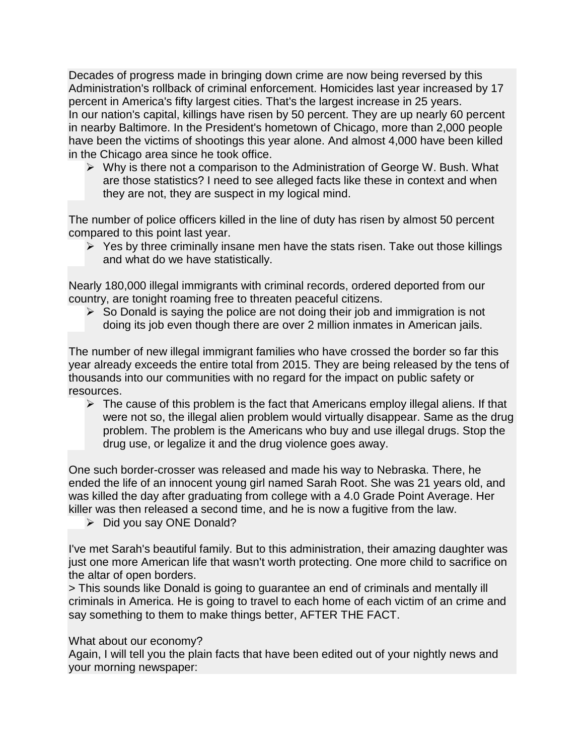Decades of progress made in bringing down crime are now being reversed by this Administration's rollback of criminal enforcement. Homicides last year increased by 17 percent in America's fifty largest cities. That's the largest increase in 25 years. In our nation's capital, killings have risen by 50 percent. They are up nearly 60 percent in nearby Baltimore. In the President's hometown of Chicago, more than 2,000 people have been the victims of shootings this year alone. And almost 4,000 have been killed in the Chicago area since he took office.

 Why is there not a comparison to the Administration of George W. Bush. What are those statistics? I need to see alleged facts like these in context and when they are not, they are suspect in my logical mind.

The number of police officers killed in the line of duty has risen by almost 50 percent compared to this point last year.

 $\triangleright$  Yes by three criminally insane men have the stats risen. Take out those killings and what do we have statistically.

Nearly 180,000 illegal immigrants with criminal records, ordered deported from our country, are tonight roaming free to threaten peaceful citizens.

 $\triangleright$  So Donald is saying the police are not doing their job and immigration is not doing its job even though there are over 2 million inmates in American jails.

The number of new illegal immigrant families who have crossed the border so far this year already exceeds the entire total from 2015. They are being released by the tens of thousands into our communities with no regard for the impact on public safety or resources.

 $\triangleright$  The cause of this problem is the fact that Americans employ illegal aliens. If that were not so, the illegal alien problem would virtually disappear. Same as the drug problem. The problem is the Americans who buy and use illegal drugs. Stop the drug use, or legalize it and the drug violence goes away.

One such border-crosser was released and made his way to Nebraska. There, he ended the life of an innocent young girl named Sarah Root. She was 21 years old, and was killed the day after graduating from college with a 4.0 Grade Point Average. Her killer was then released a second time, and he is now a fugitive from the law.

 $\triangleright$  Did you say ONE Donald?

I've met Sarah's beautiful family. But to this administration, their amazing daughter was just one more American life that wasn't worth protecting. One more child to sacrifice on the altar of open borders.

> This sounds like Donald is going to guarantee an end of criminals and mentally ill criminals in America. He is going to travel to each home of each victim of an crime and say something to them to make things better, AFTER THE FACT.

## What about our economy?

Again, I will tell you the plain facts that have been edited out of your nightly news and your morning newspaper: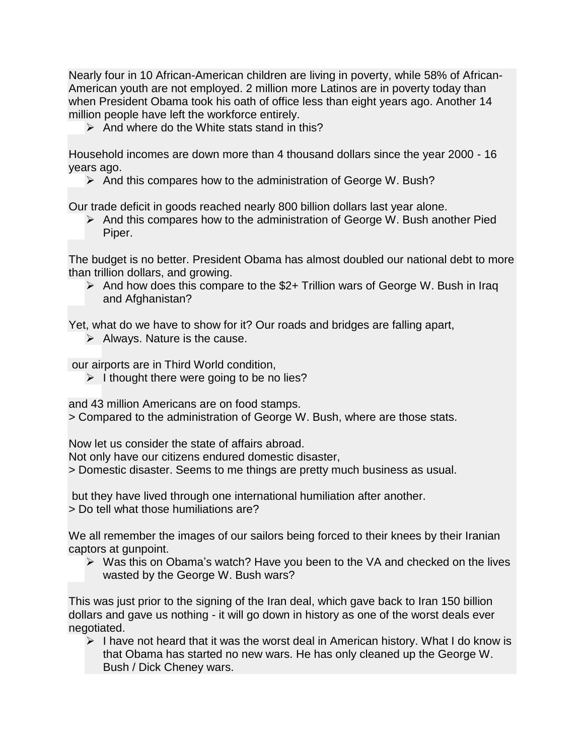Nearly four in 10 African-American children are living in poverty, while 58% of African-American youth are not employed. 2 million more Latinos are in poverty today than when President Obama took his oath of office less than eight years ago. Another 14 million people have left the workforce entirely.

 $\triangleright$  And where do the White stats stand in this?

Household incomes are down more than 4 thousand dollars since the year 2000 - 16 years ago.

 $\triangleright$  And this compares how to the administration of George W. Bush?

Our trade deficit in goods reached nearly 800 billion dollars last year alone.

 $\triangleright$  And this compares how to the administration of George W. Bush another Pied Piper.

The budget is no better. President Obama has almost doubled our national debt to more than trillion dollars, and growing.

 $\triangleright$  And how does this compare to the \$2+ Trillion wars of George W. Bush in Iraq and Afghanistan?

Yet, what do we have to show for it? Our roads and bridges are falling apart,

 $\triangleright$  Always. Nature is the cause.

our airports are in Third World condition,

 $\triangleright$  I thought there were going to be no lies?

and 43 million Americans are on food stamps.

> Compared to the administration of George W. Bush, where are those stats.

Now let us consider the state of affairs abroad.

Not only have our citizens endured domestic disaster,

> Domestic disaster. Seems to me things are pretty much business as usual.

but they have lived through one international humiliation after another.

> Do tell what those humiliations are?

We all remember the images of our sailors being forced to their knees by their Iranian captors at gunpoint.

 $\triangleright$  Was this on Obama's watch? Have you been to the VA and checked on the lives wasted by the George W. Bush wars?

This was just prior to the signing of the Iran deal, which gave back to Iran 150 billion dollars and gave us nothing - it will go down in history as one of the worst deals ever negotiated.

 $\triangleright$  I have not heard that it was the worst deal in American history. What I do know is that Obama has started no new wars. He has only cleaned up the George W. Bush / Dick Cheney wars.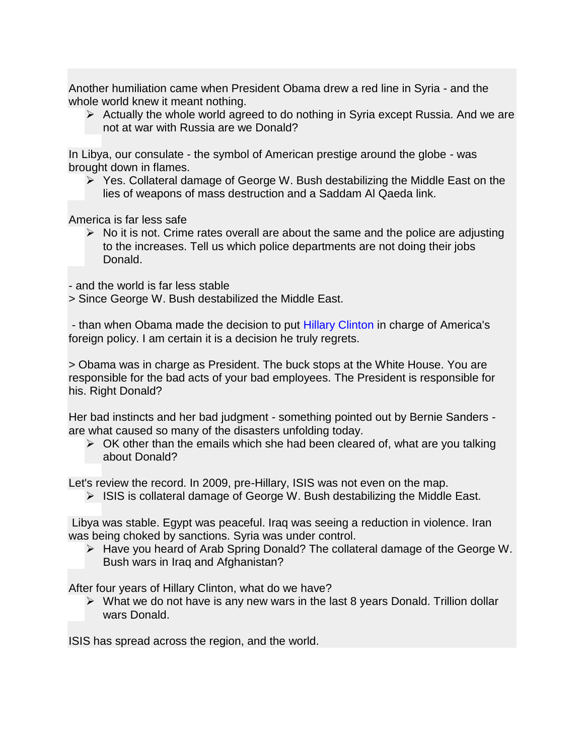Another humiliation came when President Obama drew a red line in Syria - and the whole world knew it meant nothing.

 $\triangleright$  Actually the whole world agreed to do nothing in Syria except Russia. And we are not at war with Russia are we Donald?

In Libya, our consulate - the symbol of American prestige around the globe - was brought down in flames.

 $\triangleright$  Yes. Collateral damage of George W. Bush destabilizing the Middle East on the lies of weapons of mass destruction and a Saddam Al Qaeda link.

America is far less safe

 $\triangleright$  No it is not. Crime rates overall are about the same and the police are adjusting to the increases. Tell us which police departments are not doing their jobs Donald.

- and the world is far less stable

> Since George W. Bush destabilized the Middle East.

- than when Obama made the decision to put Hillary [Clinton](http://abcnews.go.com/topics/news/whitehouse/hillary-clinton.htm) in charge of America's foreign policy. I am certain it is a decision he truly regrets.

> Obama was in charge as President. The buck stops at the White House. You are responsible for the bad acts of your bad employees. The President is responsible for his. Right Donald?

Her bad instincts and her bad judgment - something pointed out by Bernie Sanders are what caused so many of the disasters unfolding today.

 $\triangleright$  OK other than the emails which she had been cleared of, what are you talking about Donald?

Let's review the record. In 2009, pre-Hillary, ISIS was not even on the map.

 $\triangleright$  ISIS is collateral damage of George W. Bush destabilizing the Middle East.

Libya was stable. Egypt was peaceful. Iraq was seeing a reduction in violence. Iran was being choked by sanctions. Syria was under control.

 Have you heard of Arab Spring Donald? The collateral damage of the George W. Bush wars in Iraq and Afghanistan?

After four years of Hillary Clinton, what do we have?

 $\triangleright$  What we do not have is any new wars in the last 8 years Donald. Trillion dollar wars Donald.

ISIS has spread across the region, and the world.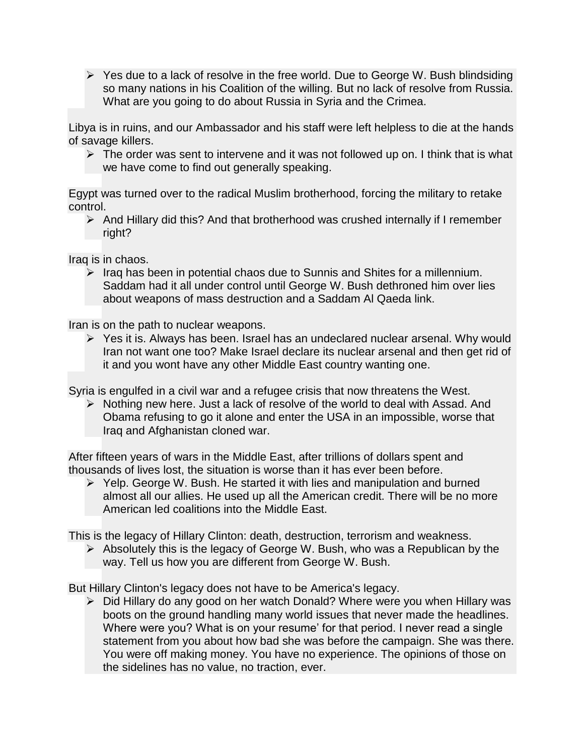$\triangleright$  Yes due to a lack of resolve in the free world. Due to George W. Bush blindsiding so many nations in his Coalition of the willing. But no lack of resolve from Russia. What are you going to do about Russia in Syria and the Crimea.

Libya is in ruins, and our Ambassador and his staff were left helpless to die at the hands of savage killers.

 $\triangleright$  The order was sent to intervene and it was not followed up on. I think that is what we have come to find out generally speaking.

Egypt was turned over to the radical Muslim brotherhood, forcing the military to retake control.

 $\triangleright$  And Hillary did this? And that brotherhood was crushed internally if I remember right?

Iraq is in chaos.

 $\triangleright$  Iraq has been in potential chaos due to Sunnis and Shites for a millennium. Saddam had it all under control until George W. Bush dethroned him over lies about weapons of mass destruction and a Saddam Al Qaeda link.

Iran is on the path to nuclear weapons.

 $\triangleright$  Yes it is. Always has been. Israel has an undeclared nuclear arsenal. Why would Iran not want one too? Make Israel declare its nuclear arsenal and then get rid of it and you wont have any other Middle East country wanting one.

Syria is engulfed in a civil war and a refugee crisis that now threatens the West.

 $\triangleright$  Nothing new here. Just a lack of resolve of the world to deal with Assad. And Obama refusing to go it alone and enter the USA in an impossible, worse that Iraq and Afghanistan cloned war.

After fifteen years of wars in the Middle East, after trillions of dollars spent and thousands of lives lost, the situation is worse than it has ever been before.

 $\triangleright$  Yelp. George W. Bush. He started it with lies and manipulation and burned almost all our allies. He used up all the American credit. There will be no more American led coalitions into the Middle East.

This is the legacy of Hillary Clinton: death, destruction, terrorism and weakness.

 $\triangleright$  Absolutely this is the legacy of George W. Bush, who was a Republican by the way. Tell us how you are different from George W. Bush.

But Hillary Clinton's legacy does not have to be America's legacy.

 $\triangleright$  Did Hillary do any good on her watch Donald? Where were you when Hillary was boots on the ground handling many world issues that never made the headlines. Where were you? What is on your resume' for that period. I never read a single statement from you about how bad she was before the campaign. She was there. You were off making money. You have no experience. The opinions of those on the sidelines has no value, no traction, ever.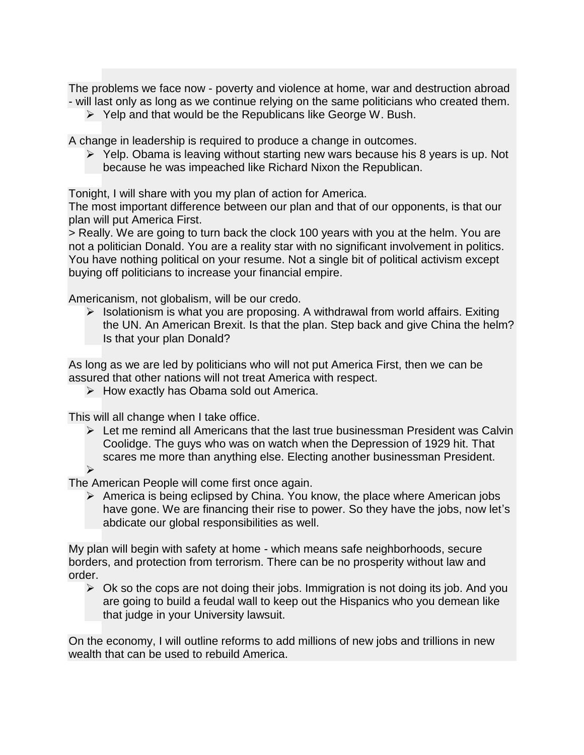The problems we face now - poverty and violence at home, war and destruction abroad - will last only as long as we continue relying on the same politicians who created them.

 $\triangleright$  Yelp and that would be the Republicans like George W. Bush.

A change in leadership is required to produce a change in outcomes.

 $\triangleright$  Yelp. Obama is leaving without starting new wars because his 8 years is up. Not because he was impeached like Richard Nixon the Republican.

Tonight, I will share with you my plan of action for America.

The most important difference between our plan and that of our opponents, is that our plan will put America First.

> Really. We are going to turn back the clock 100 years with you at the helm. You are not a politician Donald. You are a reality star with no significant involvement in politics. You have nothing political on your resume. Not a single bit of political activism except buying off politicians to increase your financial empire.

Americanism, not globalism, will be our credo.

 $\triangleright$  Isolationism is what you are proposing. A withdrawal from world affairs. Exiting the UN. An American Brexit. Is that the plan. Step back and give China the helm? Is that your plan Donald?

As long as we are led by politicians who will not put America First, then we can be assured that other nations will not treat America with respect.

 $\triangleright$  How exactly has Obama sold out America.

This will all change when I take office.

- $\triangleright$  Let me remind all Americans that the last true businessman President was Calvin Coolidge. The guys who was on watch when the Depression of 1929 hit. That scares me more than anything else. Electing another businessman President.
- $\blacktriangleright$

The American People will come first once again.

 $\triangleright$  America is being eclipsed by China. You know, the place where American jobs have gone. We are financing their rise to power. So they have the jobs, now let's abdicate our global responsibilities as well.

My plan will begin with safety at home - which means safe neighborhoods, secure borders, and protection from terrorism. There can be no prosperity without law and order.

 $\triangleright$  Ok so the cops are not doing their jobs. Immigration is not doing its job. And you are going to build a feudal wall to keep out the Hispanics who you demean like that judge in your University lawsuit.

On the economy, I will outline reforms to add millions of new jobs and trillions in new wealth that can be used to rebuild America.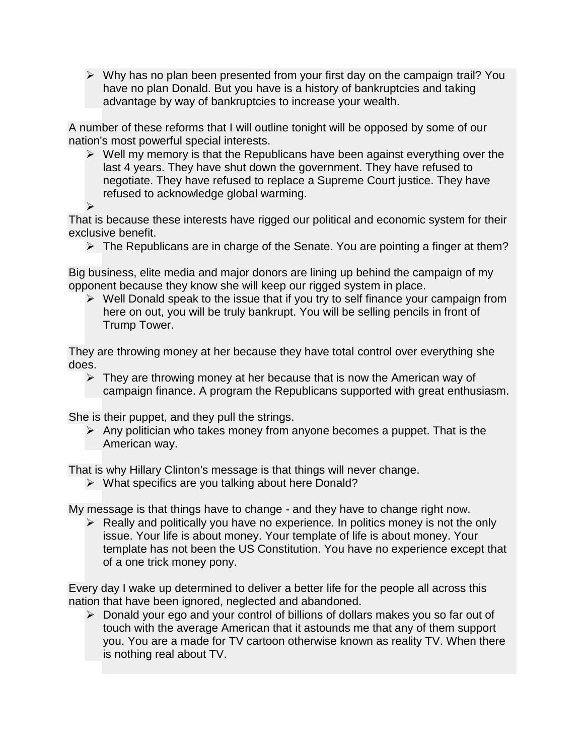$\triangleright$  Why has no plan been presented from your first day on the campaign trail? You have no plan Donald. But you have is a history of bankruptcies and taking advantage by way of bankruptcies to increase your wealth.

A number of these reforms that I will outline tonight will be opposed by some of our nation's most powerful special interests.

 $\triangleright$  Well my memory is that the Republicans have been against everything over the last 4 years. They have shut down the government. They have refused to negotiate. They have refused to replace a Supreme Court justice. They have refused to acknowledge global warming.

 $\blacktriangleright$ That is because these interests have rigged our political and economic system for their exclusive benefit.

 $\triangleright$  The Republicans are in charge of the Senate. You are pointing a finger at them?

Big business, elite media and major donors are lining up behind the campaign of my opponent because they know she will keep our rigged system in place.

 $\triangleright$  Well Donald speak to the issue that if you try to self finance your campaign from here on out, you will be truly bankrupt. You will be selling pencils in front of Trump Tower.

They are throwing money at her because they have total control over everything she does.

 $\triangleright$  They are throwing money at her because that is now the American way of campaign finance. A program the Republicans supported with great enthusiasm.

She is their puppet, and they pull the strings.

 $\triangleright$  Any politician who takes money from anyone becomes a puppet. That is the American way.

That is why Hillary Clinton's message is that things will never change.

What specifics are you talking about here Donald?

My message is that things have to change - and they have to change right now.

 $\triangleright$  Really and politically you have no experience. In politics money is not the only issue. Your life is about money. Your template of life is about money. Your template has not been the US Constitution. You have no experience except that of a one trick money pony.

Every day I wake up determined to deliver a better life for the people all across this nation that have been ignored, neglected and abandoned.

 $\triangleright$  Donald your ego and your control of billions of dollars makes you so far out of touch with the average American that it astounds me that any of them support you. You are a made for TV cartoon otherwise known as reality TV. When there is nothing real about TV.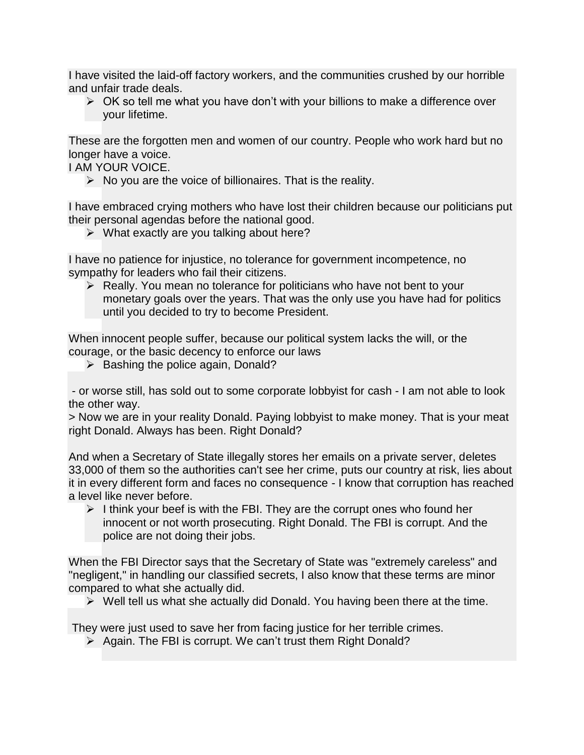I have visited the laid-off factory workers, and the communities crushed by our horrible and unfair trade deals.

 $\triangleright$  OK so tell me what you have don't with your billions to make a difference over your lifetime.

These are the forgotten men and women of our country. People who work hard but no longer have a voice.

I AM YOUR VOICE.

 $\triangleright$  No you are the voice of billionaires. That is the reality.

I have embraced crying mothers who have lost their children because our politicians put their personal agendas before the national good.

 $\triangleright$  What exactly are you talking about here?

I have no patience for injustice, no tolerance for government incompetence, no sympathy for leaders who fail their citizens.

 $\triangleright$  Really. You mean no tolerance for politicians who have not bent to your monetary goals over the years. That was the only use you have had for politics until you decided to try to become President.

When innocent people suffer, because our political system lacks the will, or the courage, or the basic decency to enforce our laws

 $\triangleright$  Bashing the police again, Donald?

- or worse still, has sold out to some corporate lobbyist for cash - I am not able to look the other way.

> Now we are in your reality Donald. Paying lobbyist to make money. That is your meat right Donald. Always has been. Right Donald?

And when a Secretary of State illegally stores her emails on a private server, deletes 33,000 of them so the authorities can't see her crime, puts our country at risk, lies about it in every different form and faces no consequence - I know that corruption has reached a level like never before.

 $\triangleright$  I think your beef is with the FBI. They are the corrupt ones who found her innocent or not worth prosecuting. Right Donald. The FBI is corrupt. And the police are not doing their jobs.

When the FBI Director says that the Secretary of State was "extremely careless" and "negligent," in handling our classified secrets, I also know that these terms are minor compared to what she actually did.

 $\triangleright$  Well tell us what she actually did Donald. You having been there at the time.

They were just used to save her from facing justice for her terrible crimes.

 $\triangleright$  Again. The FBI is corrupt. We can't trust them Right Donald?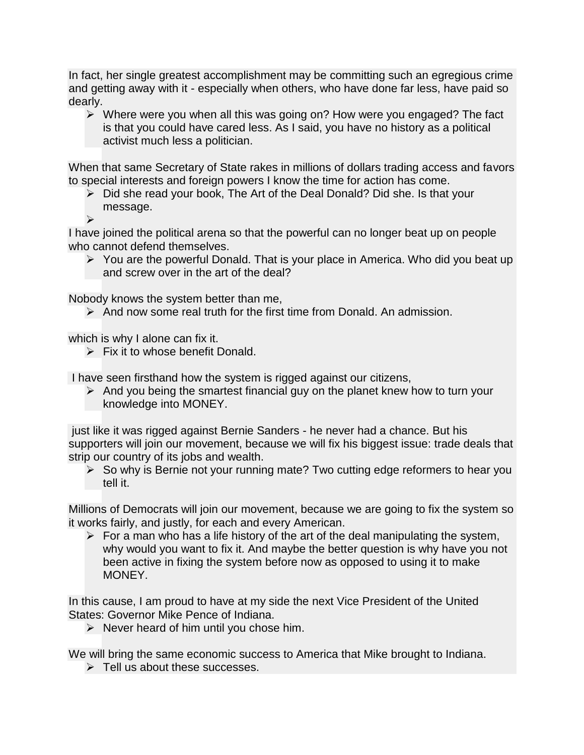In fact, her single greatest accomplishment may be committing such an egregious crime and getting away with it - especially when others, who have done far less, have paid so dearly.

 $\triangleright$  Where were you when all this was going on? How were you engaged? The fact is that you could have cared less. As I said, you have no history as a political activist much less a politician.

When that same Secretary of State rakes in millions of dollars trading access and favors to special interests and foreign powers I know the time for action has come.

- $\triangleright$  Did she read your book, The Art of the Deal Donald? Did she. Is that your message.
- $\blacktriangleright$

I have joined the political arena so that the powerful can no longer beat up on people who cannot defend themselves.

 $\triangleright$  You are the powerful Donald. That is your place in America. Who did you beat up and screw over in the art of the deal?

Nobody knows the system better than me,

 $\triangleright$  And now some real truth for the first time from Donald. An admission.

which is why I alone can fix it.

 $\triangleright$  Fix it to whose benefit Donald.

I have seen firsthand how the system is rigged against our citizens,

 $\triangleright$  And you being the smartest financial guy on the planet knew how to turn your knowledge into MONEY.

just like it was rigged against Bernie Sanders - he never had a chance. But his supporters will join our movement, because we will fix his biggest issue: trade deals that strip our country of its jobs and wealth.

 $\triangleright$  So why is Bernie not your running mate? Two cutting edge reformers to hear you tell it.

Millions of Democrats will join our movement, because we are going to fix the system so it works fairly, and justly, for each and every American.

 $\triangleright$  For a man who has a life history of the art of the deal manipulating the system, why would you want to fix it. And maybe the better question is why have you not been active in fixing the system before now as opposed to using it to make MONEY.

In this cause, I am proud to have at my side the next Vice President of the United States: Governor Mike Pence of Indiana.

 $\triangleright$  Never heard of him until you chose him.

We will bring the same economic success to America that Mike brought to Indiana.

 $\triangleright$  Tell us about these successes.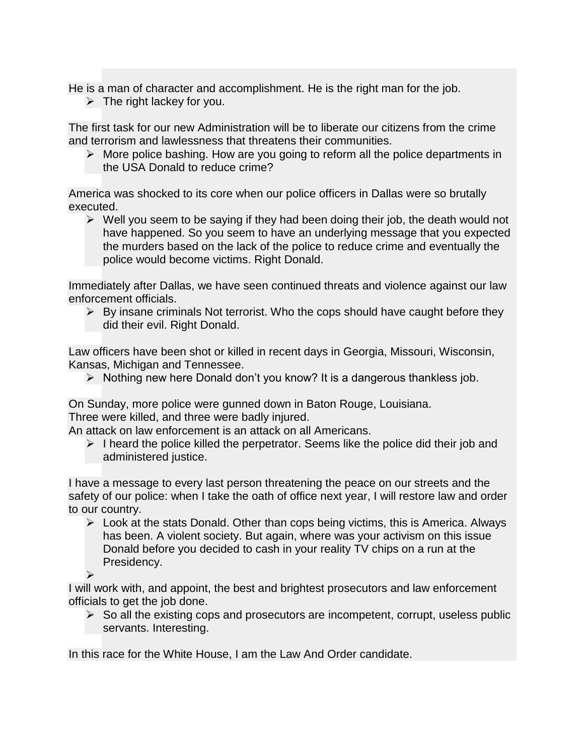He is a man of character and accomplishment. He is the right man for the job.

 $\triangleright$  The right lackey for you.

The first task for our new Administration will be to liberate our citizens from the crime and terrorism and lawlessness that threatens their communities.

 $\triangleright$  More police bashing. How are you going to reform all the police departments in the USA Donald to reduce crime?

America was shocked to its core when our police officers in Dallas were so brutally executed.

 $\triangleright$  Well you seem to be saying if they had been doing their job, the death would not have happened. So you seem to have an underlying message that you expected the murders based on the lack of the police to reduce crime and eventually the police would become victims. Right Donald.

Immediately after Dallas, we have seen continued threats and violence against our law enforcement officials.

 $\triangleright$  By insane criminals Not terrorist. Who the cops should have caught before they did their evil. Right Donald.

Law officers have been shot or killed in recent days in Georgia, Missouri, Wisconsin, Kansas, Michigan and Tennessee.

 $\triangleright$  Nothing new here Donald don't you know? It is a dangerous thankless job.

On Sunday, more police were gunned down in Baton Rouge, Louisiana. Three were killed, and three were badly injured.

An attack on law enforcement is an attack on all Americans.

 $\triangleright$  I heard the police killed the perpetrator. Seems like the police did their job and administered justice.

I have a message to every last person threatening the peace on our streets and the safety of our police: when I take the oath of office next year, I will restore law and order to our country.

 $\triangleright$  Look at the stats Donald. Other than cops being victims, this is America. Always has been. A violent society. But again, where was your activism on this issue Donald before you decided to cash in your reality TV chips on a run at the Presidency.

 $\blacktriangleright$ 

I will work with, and appoint, the best and brightest prosecutors and law enforcement officials to get the job done.

 $\triangleright$  So all the existing cops and prosecutors are incompetent, corrupt, useless public servants. Interesting.

In this race for the White House, I am the Law And Order candidate.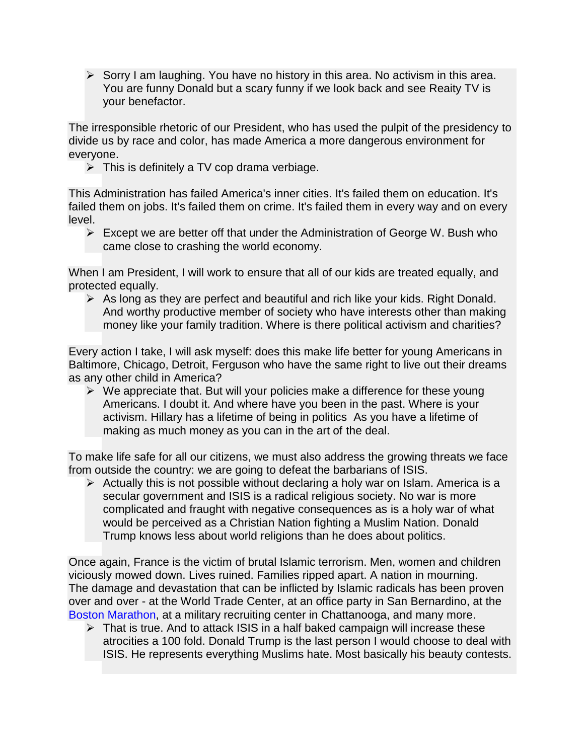$\triangleright$  Sorry I am laughing. You have no history in this area. No activism in this area. You are funny Donald but a scary funny if we look back and see Reaity TV is your benefactor.

The irresponsible rhetoric of our President, who has used the pulpit of the presidency to divide us by race and color, has made America a more dangerous environment for everyone.

 $\triangleright$  This is definitely a TV cop drama verbiage.

This Administration has failed America's inner cities. It's failed them on education. It's failed them on jobs. It's failed them on crime. It's failed them in every way and on every level.

 $\triangleright$  Except we are better off that under the Administration of George W. Bush who came close to crashing the world economy.

When I am President, I will work to ensure that all of our kids are treated equally, and protected equally.

 $\triangleright$  As long as they are perfect and beautiful and rich like your kids. Right Donald. And worthy productive member of society who have interests other than making money like your family tradition. Where is there political activism and charities?

Every action I take, I will ask myself: does this make life better for young Americans in Baltimore, Chicago, Detroit, Ferguson who have the same right to live out their dreams as any other child in America?

 $\triangleright$  We appreciate that. But will your policies make a difference for these young Americans. I doubt it. And where have you been in the past. Where is your activism. Hillary has a lifetime of being in politics As you have a lifetime of making as much money as you can in the art of the deal.

To make life safe for all our citizens, we must also address the growing threats we face from outside the country: we are going to defeat the barbarians of ISIS.

 $\triangleright$  Actually this is not possible without declaring a holy war on Islam. America is a secular government and ISIS is a radical religious society. No war is more complicated and fraught with negative consequences as is a holy war of what would be perceived as a Christian Nation fighting a Muslim Nation. Donald Trump knows less about world religions than he does about politics.

Once again, France is the victim of brutal Islamic terrorism. Men, women and children viciously mowed down. Lives ruined. Families ripped apart. A nation in mourning. The damage and devastation that can be inflicted by Islamic radicals has been proven over and over - at the World Trade Center, at an office party in San Bernardino, at the Boston [Marathon,](http://abcnews.go.com/topics/news/boston-marathon.htm) at a military recruiting center in Chattanooga, and many more.

 $\triangleright$  That is true. And to attack ISIS in a half baked campaign will increase these atrocities a 100 fold. Donald Trump is the last person I would choose to deal with ISIS. He represents everything Muslims hate. Most basically his beauty contests.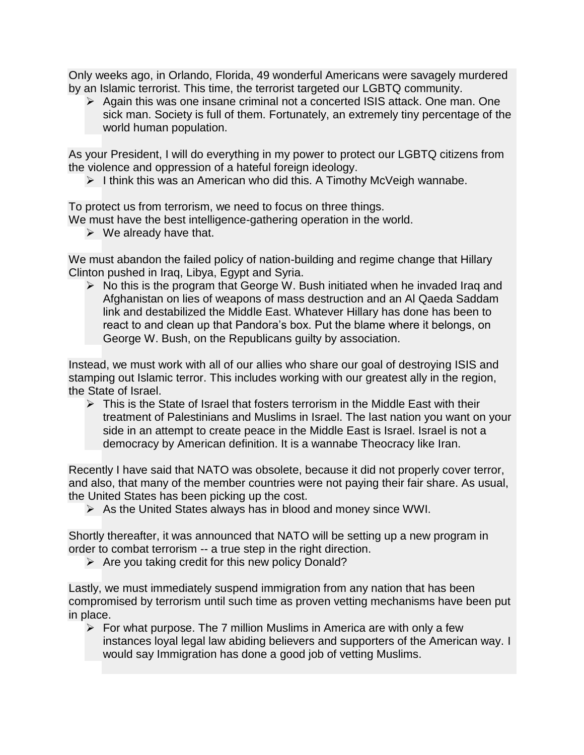Only weeks ago, in Orlando, Florida, 49 wonderful Americans were savagely murdered by an Islamic terrorist. This time, the terrorist targeted our LGBTQ community.

 $\triangleright$  Again this was one insane criminal not a concerted ISIS attack. One man. One sick man. Society is full of them. Fortunately, an extremely tiny percentage of the world human population.

As your President, I will do everything in my power to protect our LGBTQ citizens from the violence and oppression of a hateful foreign ideology.

 $\triangleright$  I think this was an American who did this. A Timothy McVeigh wannabe.

To protect us from terrorism, we need to focus on three things.

We must have the best intelligence-gathering operation in the world.

 $\triangleright$  We already have that.

We must abandon the failed policy of nation-building and regime change that Hillary Clinton pushed in Iraq, Libya, Egypt and Syria.

 $\triangleright$  No this is the program that George W. Bush initiated when he invaded Iraq and Afghanistan on lies of weapons of mass destruction and an Al Qaeda Saddam link and destabilized the Middle East. Whatever Hillary has done has been to react to and clean up that Pandora's box. Put the blame where it belongs, on George W. Bush, on the Republicans guilty by association.

Instead, we must work with all of our allies who share our goal of destroying ISIS and stamping out Islamic terror. This includes working with our greatest ally in the region, the State of Israel.

 $\triangleright$  This is the State of Israel that fosters terrorism in the Middle East with their treatment of Palestinians and Muslims in Israel. The last nation you want on your side in an attempt to create peace in the Middle East is Israel. Israel is not a democracy by American definition. It is a wannabe Theocracy like Iran.

Recently I have said that NATO was obsolete, because it did not properly cover terror, and also, that many of the member countries were not paying their fair share. As usual, the United States has been picking up the cost.

 $\triangleright$  As the United States always has in blood and money since WWI.

Shortly thereafter, it was announced that NATO will be setting up a new program in order to combat terrorism -- a true step in the right direction.

 $\triangleright$  Are you taking credit for this new policy Donald?

Lastly, we must immediately suspend immigration from any nation that has been compromised by terrorism until such time as proven vetting mechanisms have been put in place.

 $\triangleright$  For what purpose. The 7 million Muslims in America are with only a few instances loyal legal law abiding believers and supporters of the American way. I would say Immigration has done a good job of vetting Muslims.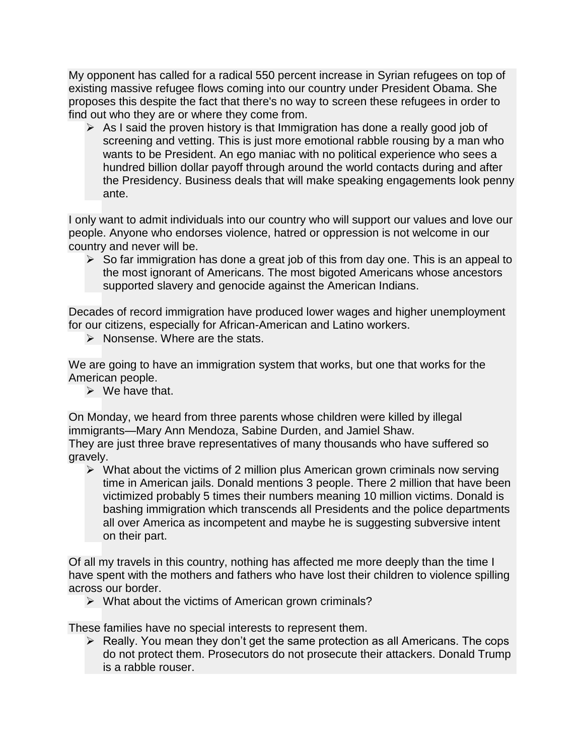My opponent has called for a radical 550 percent increase in Syrian refugees on top of existing massive refugee flows coming into our country under President Obama. She proposes this despite the fact that there's no way to screen these refugees in order to find out who they are or where they come from.

 $\triangleright$  As I said the proven history is that Immigration has done a really good job of screening and vetting. This is just more emotional rabble rousing by a man who wants to be President. An ego maniac with no political experience who sees a hundred billion dollar payoff through around the world contacts during and after the Presidency. Business deals that will make speaking engagements look penny ante.

I only want to admit individuals into our country who will support our values and love our people. Anyone who endorses violence, hatred or oppression is not welcome in our country and never will be.

 $\triangleright$  So far immigration has done a great job of this from day one. This is an appeal to the most ignorant of Americans. The most bigoted Americans whose ancestors supported slavery and genocide against the American Indians.

Decades of record immigration have produced lower wages and higher unemployment for our citizens, especially for African-American and Latino workers.

 $\triangleright$  Nonsense. Where are the stats.

We are going to have an immigration system that works, but one that works for the American people.

 $\triangleright$  We have that.

On Monday, we heard from three parents whose children were killed by illegal immigrants—Mary Ann Mendoza, Sabine Durden, and Jamiel Shaw. They are just three brave representatives of many thousands who have suffered so gravely.

 $\triangleright$  What about the victims of 2 million plus American grown criminals now serving time in American jails. Donald mentions 3 people. There 2 million that have been victimized probably 5 times their numbers meaning 10 million victims. Donald is bashing immigration which transcends all Presidents and the police departments all over America as incompetent and maybe he is suggesting subversive intent on their part.

Of all my travels in this country, nothing has affected me more deeply than the time I have spent with the mothers and fathers who have lost their children to violence spilling across our border.

 $\triangleright$  What about the victims of American grown criminals?

These families have no special interests to represent them.

 $\triangleright$  Really. You mean they don't get the same protection as all Americans. The cops do not protect them. Prosecutors do not prosecute their attackers. Donald Trump is a rabble rouser.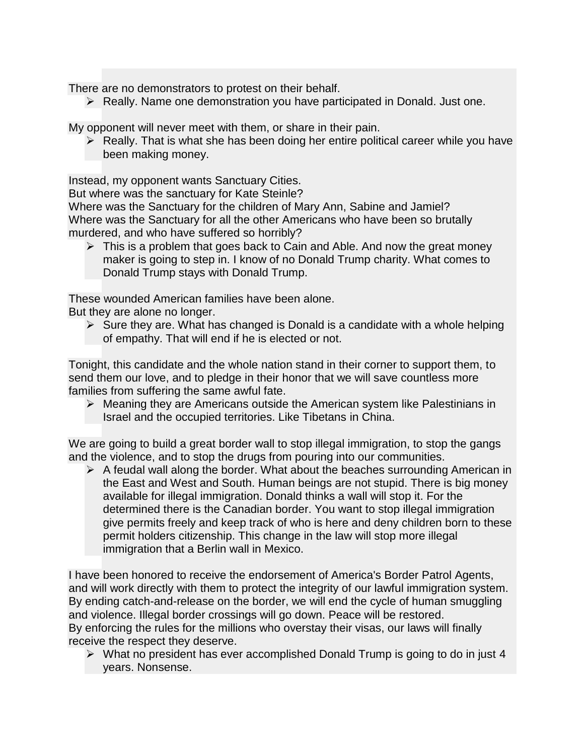There are no demonstrators to protest on their behalf.

 $\triangleright$  Really. Name one demonstration you have participated in Donald. Just one.

My opponent will never meet with them, or share in their pain.

 $\triangleright$  Really. That is what she has been doing her entire political career while you have been making money.

Instead, my opponent wants Sanctuary Cities.

But where was the sanctuary for Kate Steinle?

Where was the Sanctuary for the children of Mary Ann, Sabine and Jamiel? Where was the Sanctuary for all the other Americans who have been so brutally murdered, and who have suffered so horribly?

 $\triangleright$  This is a problem that goes back to Cain and Able. And now the great money maker is going to step in. I know of no Donald Trump charity. What comes to Donald Trump stays with Donald Trump.

These wounded American families have been alone.

But they are alone no longer.

 $\triangleright$  Sure they are. What has changed is Donald is a candidate with a whole helping of empathy. That will end if he is elected or not.

Tonight, this candidate and the whole nation stand in their corner to support them, to send them our love, and to pledge in their honor that we will save countless more families from suffering the same awful fate.

 $\triangleright$  Meaning they are Americans outside the American system like Palestinians in Israel and the occupied territories. Like Tibetans in China.

We are going to build a great border wall to stop illegal immigration, to stop the gangs and the violence, and to stop the drugs from pouring into our communities.

 $\triangleright$  A feudal wall along the border. What about the beaches surrounding American in the East and West and South. Human beings are not stupid. There is big money available for illegal immigration. Donald thinks a wall will stop it. For the determined there is the Canadian border. You want to stop illegal immigration give permits freely and keep track of who is here and deny children born to these permit holders citizenship. This change in the law will stop more illegal immigration that a Berlin wall in Mexico.

I have been honored to receive the endorsement of America's Border Patrol Agents, and will work directly with them to protect the integrity of our lawful immigration system. By ending catch-and-release on the border, we will end the cycle of human smuggling and violence. Illegal border crossings will go down. Peace will be restored. By enforcing the rules for the millions who overstay their visas, our laws will finally receive the respect they deserve.

 $\triangleright$  What no president has ever accomplished Donald Trump is going to do in just 4 years. Nonsense.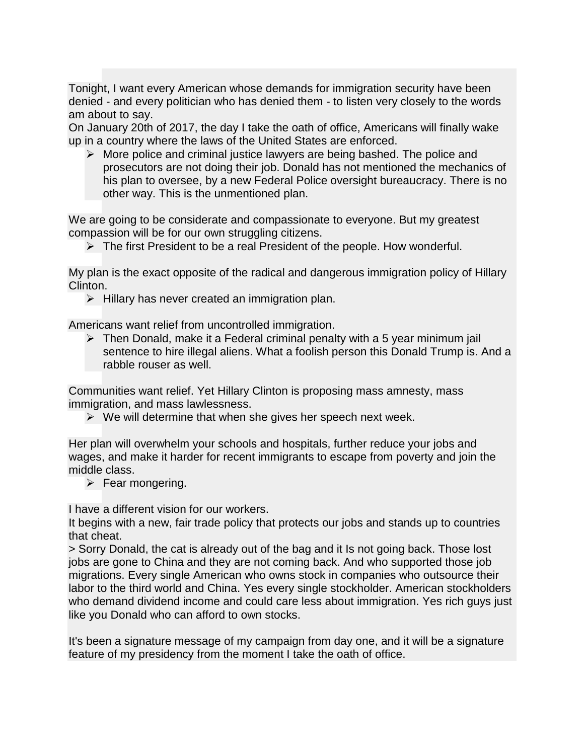Tonight, I want every American whose demands for immigration security have been denied - and every politician who has denied them - to listen very closely to the words am about to say.

On January 20th of 2017, the day I take the oath of office, Americans will finally wake up in a country where the laws of the United States are enforced.

 $\triangleright$  More police and criminal justice lawyers are being bashed. The police and prosecutors are not doing their job. Donald has not mentioned the mechanics of his plan to oversee, by a new Federal Police oversight bureaucracy. There is no other way. This is the unmentioned plan.

We are going to be considerate and compassionate to everyone. But my greatest compassion will be for our own struggling citizens.

 $\triangleright$  The first President to be a real President of the people. How wonderful.

My plan is the exact opposite of the radical and dangerous immigration policy of Hillary Clinton.

 $\triangleright$  Hillary has never created an immigration plan.

Americans want relief from uncontrolled immigration.

 $\triangleright$  Then Donald, make it a Federal criminal penalty with a 5 year minimum jail sentence to hire illegal aliens. What a foolish person this Donald Trump is. And a rabble rouser as well.

Communities want relief. Yet Hillary Clinton is proposing mass amnesty, mass immigration, and mass lawlessness.

 $\triangleright$  We will determine that when she gives her speech next week.

Her plan will overwhelm your schools and hospitals, further reduce your jobs and wages, and make it harder for recent immigrants to escape from poverty and join the middle class.

 $\triangleright$  Fear mongering.

I have a different vision for our workers.

It begins with a new, fair trade policy that protects our jobs and stands up to countries that cheat.

> Sorry Donald, the cat is already out of the bag and it Is not going back. Those lost jobs are gone to China and they are not coming back. And who supported those job migrations. Every single American who owns stock in companies who outsource their labor to the third world and China. Yes every single stockholder. American stockholders who demand dividend income and could care less about immigration. Yes rich guys just like you Donald who can afford to own stocks.

It's been a signature message of my campaign from day one, and it will be a signature feature of my presidency from the moment I take the oath of office.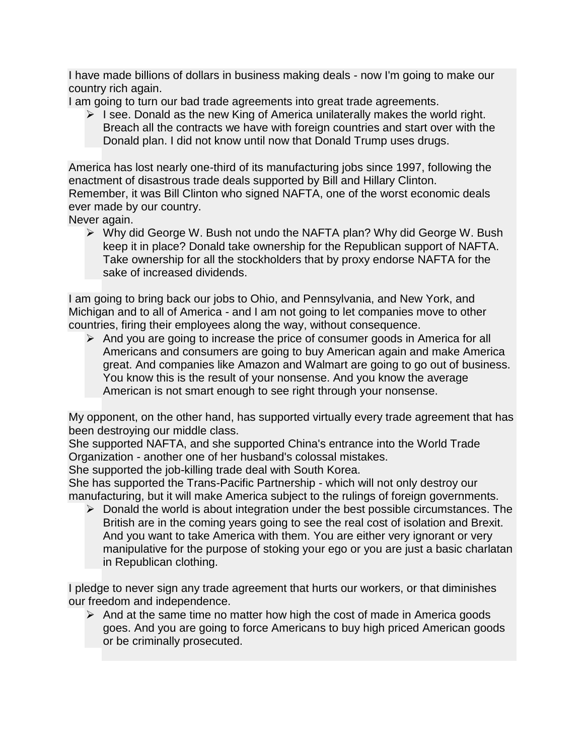I have made billions of dollars in business making deals - now I'm going to make our country rich again.

I am going to turn our bad trade agreements into great trade agreements.

 $\triangleright$  I see. Donald as the new King of America unilaterally makes the world right. Breach all the contracts we have with foreign countries and start over with the Donald plan. I did not know until now that Donald Trump uses drugs.

America has lost nearly one-third of its manufacturing jobs since 1997, following the enactment of disastrous trade deals supported by Bill and Hillary Clinton. Remember, it was Bill Clinton who signed NAFTA, one of the worst economic deals ever made by our country.

Never again.

 Why did George W. Bush not undo the NAFTA plan? Why did George W. Bush keep it in place? Donald take ownership for the Republican support of NAFTA. Take ownership for all the stockholders that by proxy endorse NAFTA for the sake of increased dividends.

I am going to bring back our jobs to Ohio, and Pennsylvania, and New York, and Michigan and to all of America - and I am not going to let companies move to other countries, firing their employees along the way, without consequence.

 $\triangleright$  And you are going to increase the price of consumer goods in America for all Americans and consumers are going to buy American again and make America great. And companies like Amazon and Walmart are going to go out of business. You know this is the result of your nonsense. And you know the average American is not smart enough to see right through your nonsense.

My opponent, on the other hand, has supported virtually every trade agreement that has been destroying our middle class.

She supported NAFTA, and she supported China's entrance into the World Trade Organization - another one of her husband's colossal mistakes.

She supported the job-killing trade deal with South Korea.

She has supported the Trans-Pacific Partnership - which will not only destroy our manufacturing, but it will make America subject to the rulings of foreign governments.

 $\triangleright$  Donald the world is about integration under the best possible circumstances. The British are in the coming years going to see the real cost of isolation and Brexit. And you want to take America with them. You are either very ignorant or very manipulative for the purpose of stoking your ego or you are just a basic charlatan in Republican clothing.

I pledge to never sign any trade agreement that hurts our workers, or that diminishes our freedom and independence.

 $\triangleright$  And at the same time no matter how high the cost of made in America goods goes. And you are going to force Americans to buy high priced American goods or be criminally prosecuted.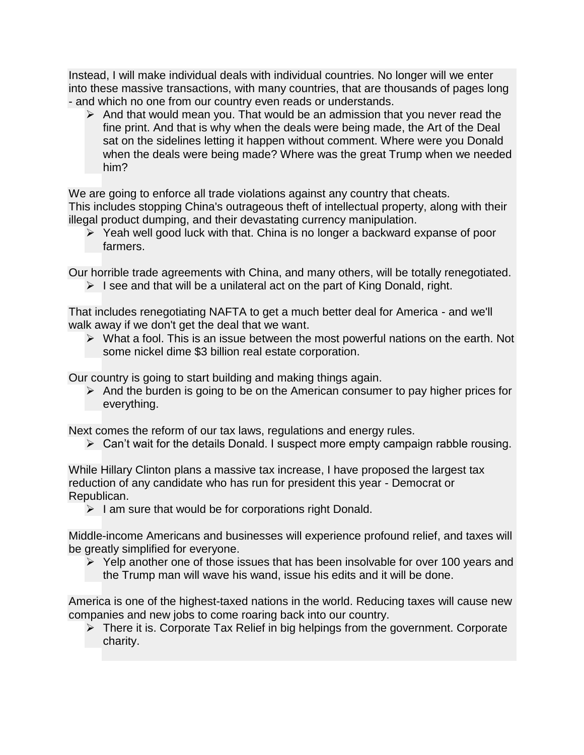Instead, I will make individual deals with individual countries. No longer will we enter into these massive transactions, with many countries, that are thousands of pages long - and which no one from our country even reads or understands.

 $\triangleright$  And that would mean you. That would be an admission that you never read the fine print. And that is why when the deals were being made, the Art of the Deal sat on the sidelines letting it happen without comment. Where were you Donald when the deals were being made? Where was the great Trump when we needed him?

We are going to enforce all trade violations against any country that cheats. This includes stopping China's outrageous theft of intellectual property, along with their illegal product dumping, and their devastating currency manipulation.

 $\triangleright$  Yeah well good luck with that. China is no longer a backward expanse of poor farmers.

Our horrible trade agreements with China, and many others, will be totally renegotiated.  $\triangleright$  I see and that will be a unilateral act on the part of King Donald, right.

That includes renegotiating NAFTA to get a much better deal for America - and we'll walk away if we don't get the deal that we want.

 $\triangleright$  What a fool. This is an issue between the most powerful nations on the earth. Not some nickel dime \$3 billion real estate corporation.

Our country is going to start building and making things again.

 $\triangleright$  And the burden is going to be on the American consumer to pay higher prices for everything.

Next comes the reform of our tax laws, regulations and energy rules.

 $\triangleright$  Can't wait for the details Donald. I suspect more empty campaign rabble rousing.

While Hillary Clinton plans a massive tax increase, I have proposed the largest tax reduction of any candidate who has run for president this year - Democrat or Republican.

 $\triangleright$  I am sure that would be for corporations right Donald.

Middle-income Americans and businesses will experience profound relief, and taxes will be greatly simplified for everyone.

 $\triangleright$  Yelp another one of those issues that has been insolvable for over 100 years and the Trump man will wave his wand, issue his edits and it will be done.

America is one of the highest-taxed nations in the world. Reducing taxes will cause new companies and new jobs to come roaring back into our country.

 $\triangleright$  There it is. Corporate Tax Relief in big helpings from the government. Corporate charity.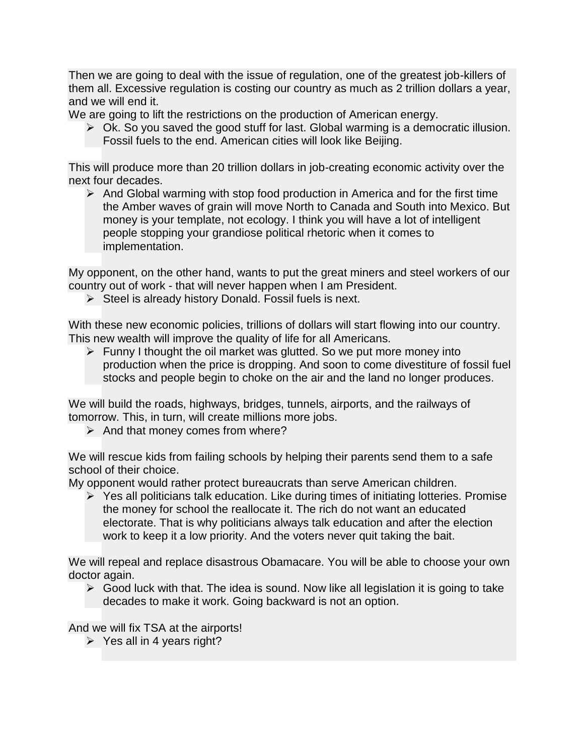Then we are going to deal with the issue of regulation, one of the greatest job-killers of them all. Excessive regulation is costing our country as much as 2 trillion dollars a year, and we will end it.

We are going to lift the restrictions on the production of American energy.

 $\triangleright$  Ok. So you saved the good stuff for last. Global warming is a democratic illusion. Fossil fuels to the end. American cities will look like Beijing.

This will produce more than 20 trillion dollars in job-creating economic activity over the next four decades.

 $\triangleright$  And Global warming with stop food production in America and for the first time the Amber waves of grain will move North to Canada and South into Mexico. But money is your template, not ecology. I think you will have a lot of intelligent people stopping your grandiose political rhetoric when it comes to implementation.

My opponent, on the other hand, wants to put the great miners and steel workers of our country out of work - that will never happen when I am President.

 $\triangleright$  Steel is already history Donald. Fossil fuels is next.

With these new economic policies, trillions of dollars will start flowing into our country. This new wealth will improve the quality of life for all Americans.

 $\triangleright$  Funny I thought the oil market was glutted. So we put more money into production when the price is dropping. And soon to come divestiture of fossil fuel stocks and people begin to choke on the air and the land no longer produces.

We will build the roads, highways, bridges, tunnels, airports, and the railways of tomorrow. This, in turn, will create millions more jobs.

 $\triangleright$  And that money comes from where?

We will rescue kids from failing schools by helping their parents send them to a safe school of their choice.

My opponent would rather protect bureaucrats than serve American children.

 $\triangleright$  Yes all politicians talk education. Like during times of initiating lotteries. Promise the money for school the reallocate it. The rich do not want an educated electorate. That is why politicians always talk education and after the election work to keep it a low priority. And the voters never quit taking the bait.

We will repeal and replace disastrous Obamacare. You will be able to choose your own doctor again.

 $\triangleright$  Good luck with that. The idea is sound. Now like all legislation it is going to take decades to make it work. Going backward is not an option.

And we will fix TSA at the airports!

 $\triangleright$  Yes all in 4 years right?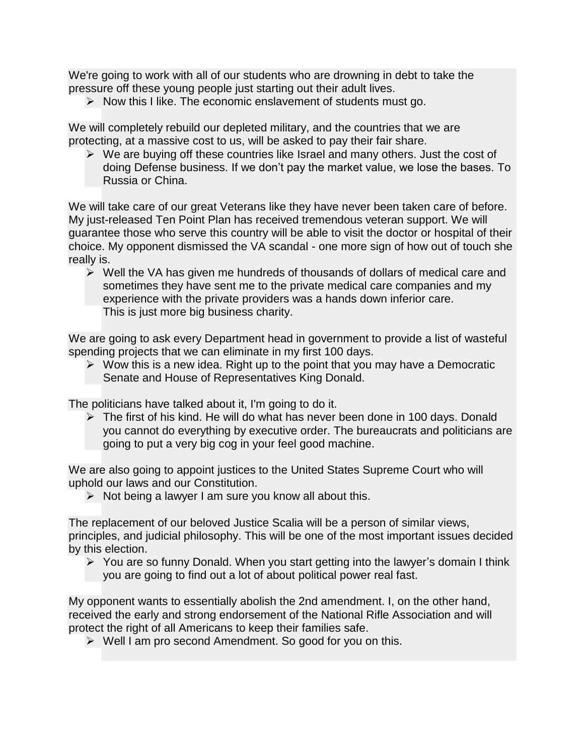We're going to work with all of our students who are drowning in debt to take the pressure off these young people just starting out their adult lives.

 $\triangleright$  Now this I like. The economic enslavement of students must go.

We will completely rebuild our depleted military, and the countries that we are protecting, at a massive cost to us, will be asked to pay their fair share.

 $\triangleright$  We are buying off these countries like Israel and many others. Just the cost of doing Defense business. If we don't pay the market value, we lose the bases. To Russia or China.

We will take care of our great Veterans like they have never been taken care of before. My just-released Ten Point Plan has received tremendous veteran support. We will guarantee those who serve this country will be able to visit the doctor or hospital of their choice. My opponent dismissed the VA scandal - one more sign of how out of touch she really is.

 $\triangleright$  Well the VA has given me hundreds of thousands of dollars of medical care and sometimes they have sent me to the private medical care companies and my experience with the private providers was a hands down inferior care. This is just more big business charity.

We are going to ask every Department head in government to provide a list of wasteful spending projects that we can eliminate in my first 100 days.

 $\triangleright$  Wow this is a new idea. Right up to the point that you may have a Democratic Senate and House of Representatives King Donald.

The politicians have talked about it, I'm going to do it.

 $\triangleright$  The first of his kind. He will do what has never been done in 100 days. Donald you cannot do everything by executive order. The bureaucrats and politicians are going to put a very big cog in your feel good machine.

We are also going to appoint justices to the United States Supreme Court who will uphold our laws and our Constitution.

 $\triangleright$  Not being a lawyer I am sure you know all about this.

The replacement of our beloved Justice Scalia will be a person of similar views, principles, and judicial philosophy. This will be one of the most important issues decided by this election.

 $\triangleright$  You are so funny Donald. When you start getting into the lawyer's domain I think you are going to find out a lot of about political power real fast.

My opponent wants to essentially abolish the 2nd amendment. I, on the other hand, received the early and strong endorsement of the National Rifle Association and will protect the right of all Americans to keep their families safe.

 $\triangleright$  Well I am pro second Amendment. So good for you on this.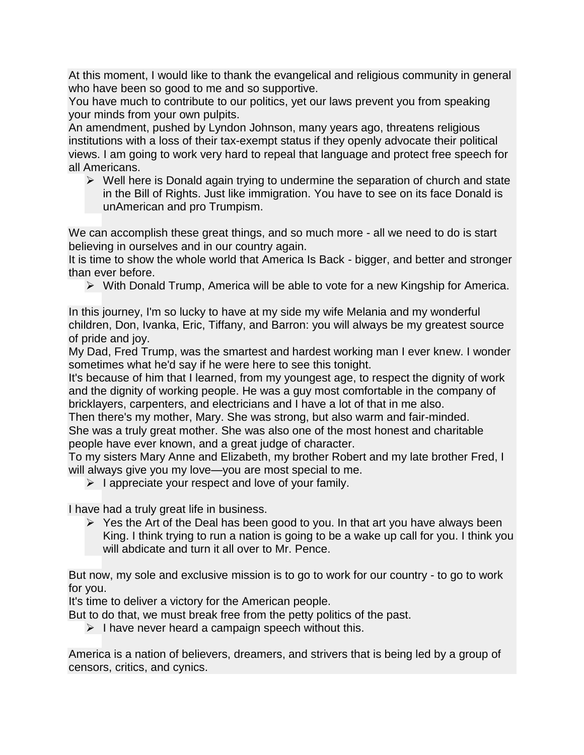At this moment, I would like to thank the evangelical and religious community in general who have been so good to me and so supportive.

You have much to contribute to our politics, yet our laws prevent you from speaking your minds from your own pulpits.

An amendment, pushed by Lyndon Johnson, many years ago, threatens religious institutions with a loss of their tax-exempt status if they openly advocate their political views. I am going to work very hard to repeal that language and protect free speech for all Americans.

 $\triangleright$  Well here is Donald again trying to undermine the separation of church and state in the Bill of Rights. Just like immigration. You have to see on its face Donald is unAmerican and pro Trumpism.

We can accomplish these great things, and so much more - all we need to do is start believing in ourselves and in our country again.

It is time to show the whole world that America Is Back - bigger, and better and stronger than ever before.

 $\triangleright$  With Donald Trump, America will be able to vote for a new Kingship for America.

In this journey, I'm so lucky to have at my side my wife Melania and my wonderful children, Don, Ivanka, Eric, Tiffany, and Barron: you will always be my greatest source of pride and joy.

My Dad, Fred Trump, was the smartest and hardest working man I ever knew. I wonder sometimes what he'd say if he were here to see this tonight.

It's because of him that I learned, from my youngest age, to respect the dignity of work and the dignity of working people. He was a guy most comfortable in the company of bricklayers, carpenters, and electricians and I have a lot of that in me also.

Then there's my mother, Mary. She was strong, but also warm and fair-minded.

She was a truly great mother. She was also one of the most honest and charitable people have ever known, and a great judge of character.

To my sisters Mary Anne and Elizabeth, my brother Robert and my late brother Fred, I will always give you my love—you are most special to me.

 $\triangleright$  I appreciate your respect and love of your family.

I have had a truly great life in business.

 $\triangleright$  Yes the Art of the Deal has been good to you. In that art you have always been King. I think trying to run a nation is going to be a wake up call for you. I think you will abdicate and turn it all over to Mr. Pence.

But now, my sole and exclusive mission is to go to work for our country - to go to work for you.

It's time to deliver a victory for the American people.

But to do that, we must break free from the petty politics of the past.

 $\triangleright$  I have never heard a campaign speech without this.

America is a nation of believers, dreamers, and strivers that is being led by a group of censors, critics, and cynics.